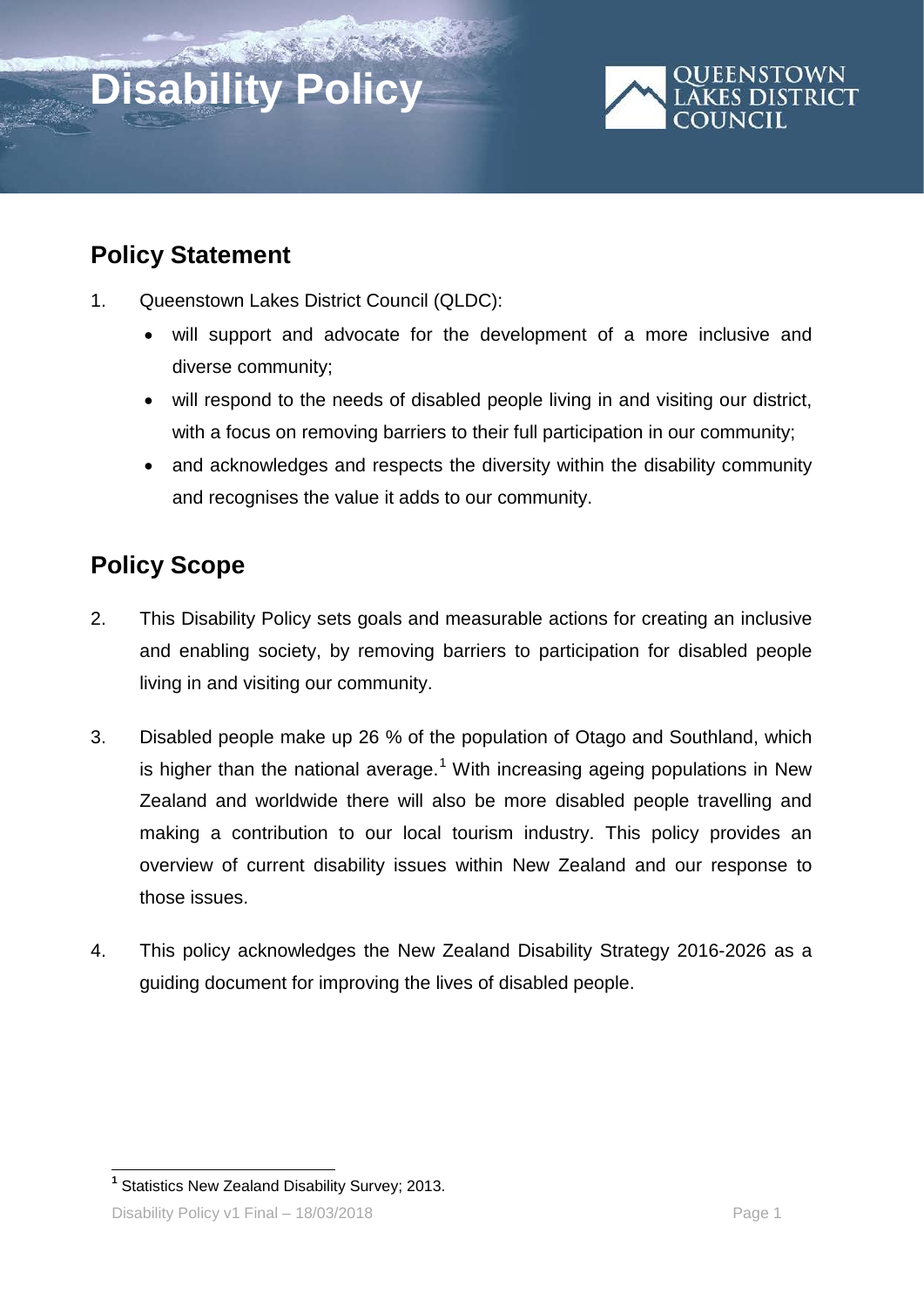# **Disability Policy**



# **Policy Statement**

- 1. Queenstown Lakes District Council (QLDC):
	- will support and advocate for the development of a more inclusive and diverse community;
	- will respond to the needs of disabled people living in and visiting our district, with a focus on removing barriers to their full participation in our community;
	- and acknowledges and respects the diversity within the disability community and recognises the value it adds to our community.

# **Policy Scope**

- 2. This Disability Policy sets goals and measurable actions for creating an inclusive and enabling society, by removing barriers to participation for disabled people living in and visiting our community.
- 3. Disabled people make up 26 % of the population of Otago and Southland, which is higher than the national average.<sup>[1](#page-0-0)</sup> With increasing ageing populations in New Zealand and worldwide there will also be more disabled people travelling and making a contribution to our local tourism industry. This policy provides an overview of current disability issues within New Zealand and our response to those issues.
- 4. This policy acknowledges the New Zealand Disability Strategy 2016-2026 as a guiding document for improving the lives of disabled people.

<span id="page-0-0"></span> **<sup>1</sup>** Statistics New Zealand Disability Survey; 2013.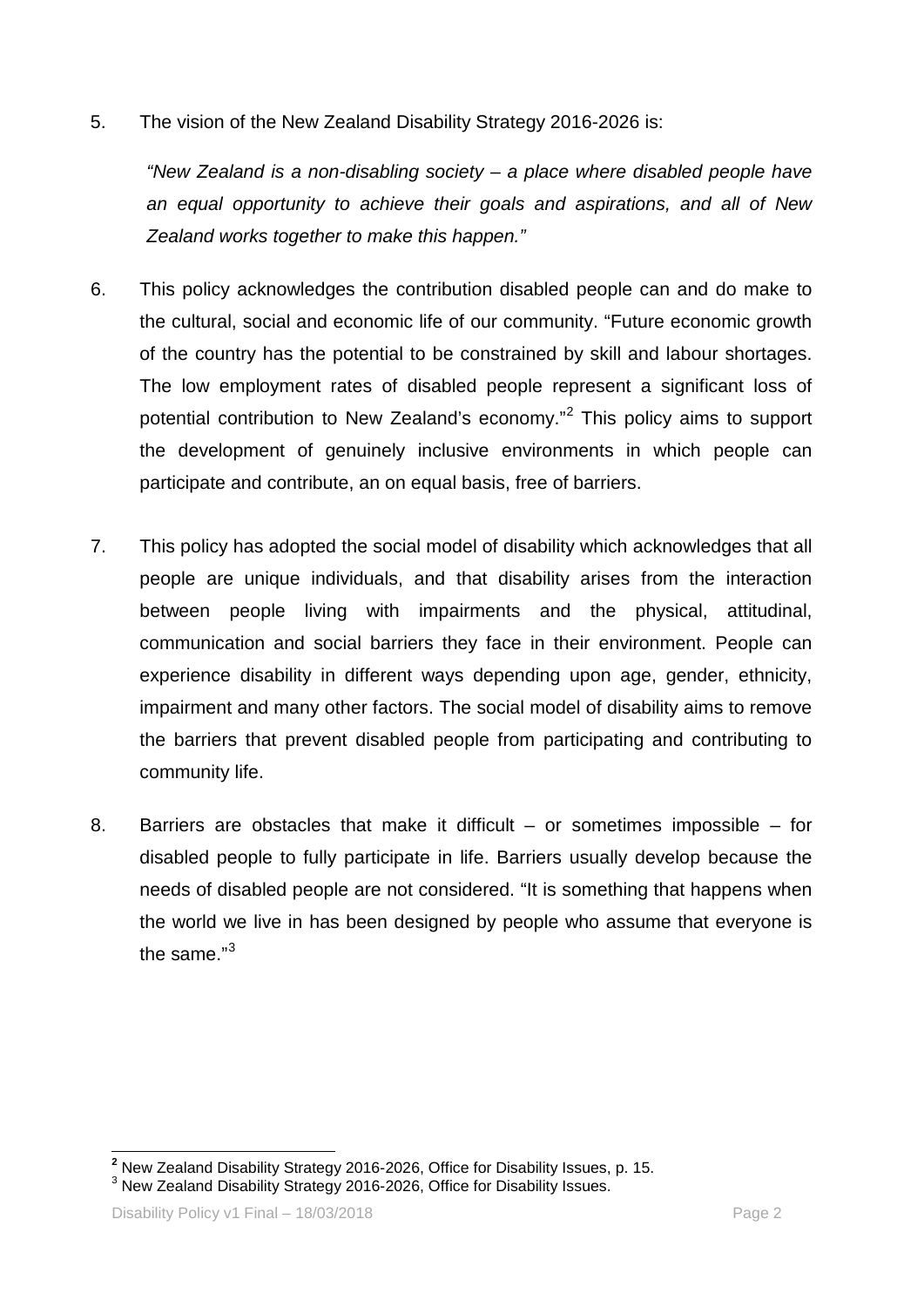5. The vision of the New Zealand Disability Strategy 2016-2026 is:

*"New Zealand is a non-disabling society – a place where disabled people have an equal opportunity to achieve their goals and aspirations, and all of New Zealand works together to make this happen."*

- 6. This policy acknowledges the contribution disabled people can and do make to the cultural, social and economic life of our community. "Future economic growth of the country has the potential to be constrained by skill and labour shortages. The low employment rates of disabled people represent a significant loss of potential contribution to New Zealand's economy."[2](#page-1-0) This policy aims to support the development of genuinely inclusive environments in which people can participate and contribute, an on equal basis, free of barriers.
- 7. This policy has adopted the social model of disability which acknowledges that all people are unique individuals, and that disability arises from the interaction between people living with impairments and the physical, attitudinal, communication and social barriers they face in their environment. People can experience disability in different ways depending upon age, gender, ethnicity, impairment and many other factors. The social model of disability aims to remove the barriers that prevent disabled people from participating and contributing to community life.
- 8. Barriers are obstacles that make it difficult or sometimes impossible for disabled people to fully participate in life. Barriers usually develop because the needs of disabled people are not considered. "It is something that happens when the world we live in has been designed by people who assume that everyone is the same."[3](#page-1-1)

<span id="page-1-1"></span><span id="page-1-0"></span><sup>&</sup>lt;sup>2</sup> New Zealand Disability Strategy 2016-2026, Office for Disability Issues, p. 15.<br><sup>3</sup> New Zealand Disability Strategy 2016-2026, Office for Disability Issues.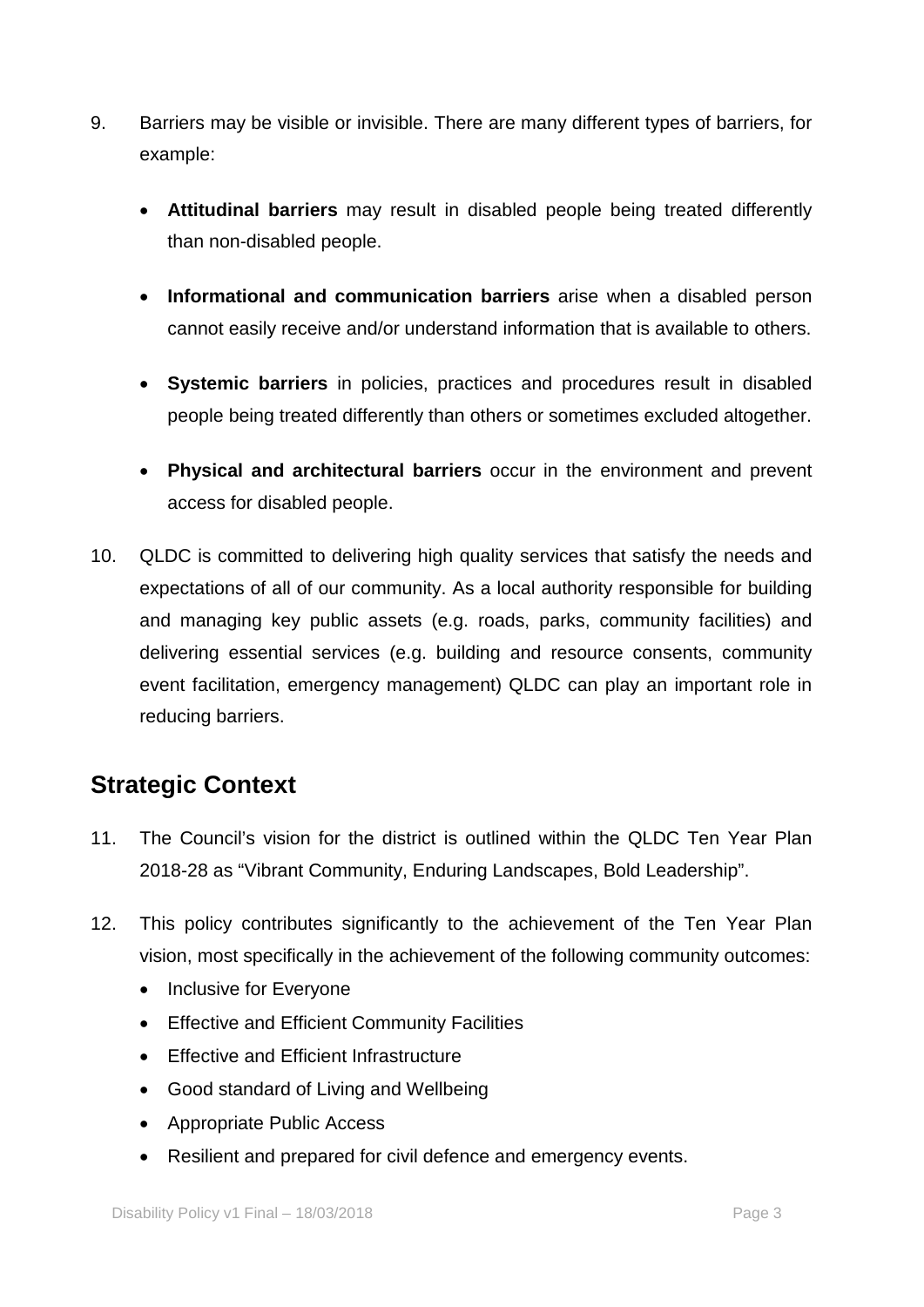- 9. Barriers may be visible or invisible. There are many different types of barriers, for example:
	- **Attitudinal barriers** may result in disabled people being treated differently than non-disabled people.
	- **Informational and communication barriers** arise when a disabled person cannot easily receive and/or understand information that is available to others.
	- **Systemic barriers** in policies, practices and procedures result in disabled people being treated differently than others or sometimes excluded altogether.
	- **Physical and architectural barriers** occur in the environment and prevent access for disabled people.
- 10. QLDC is committed to delivering high quality services that satisfy the needs and expectations of all of our community. As a local authority responsible for building and managing key public assets (e.g. roads, parks, community facilities) and delivering essential services (e.g. building and resource consents, community event facilitation, emergency management) QLDC can play an important role in reducing barriers.

# **Strategic Context**

- 11. The Council's vision for the district is outlined within the QLDC Ten Year Plan 2018-28 as "Vibrant Community, Enduring Landscapes, Bold Leadership".
- 12. This policy contributes significantly to the achievement of the Ten Year Plan vision, most specifically in the achievement of the following community outcomes:
	- Inclusive for Everyone
	- Effective and Efficient Community Facilities
	- Effective and Efficient Infrastructure
	- Good standard of Living and Wellbeing
	- Appropriate Public Access
	- Resilient and prepared for civil defence and emergency events.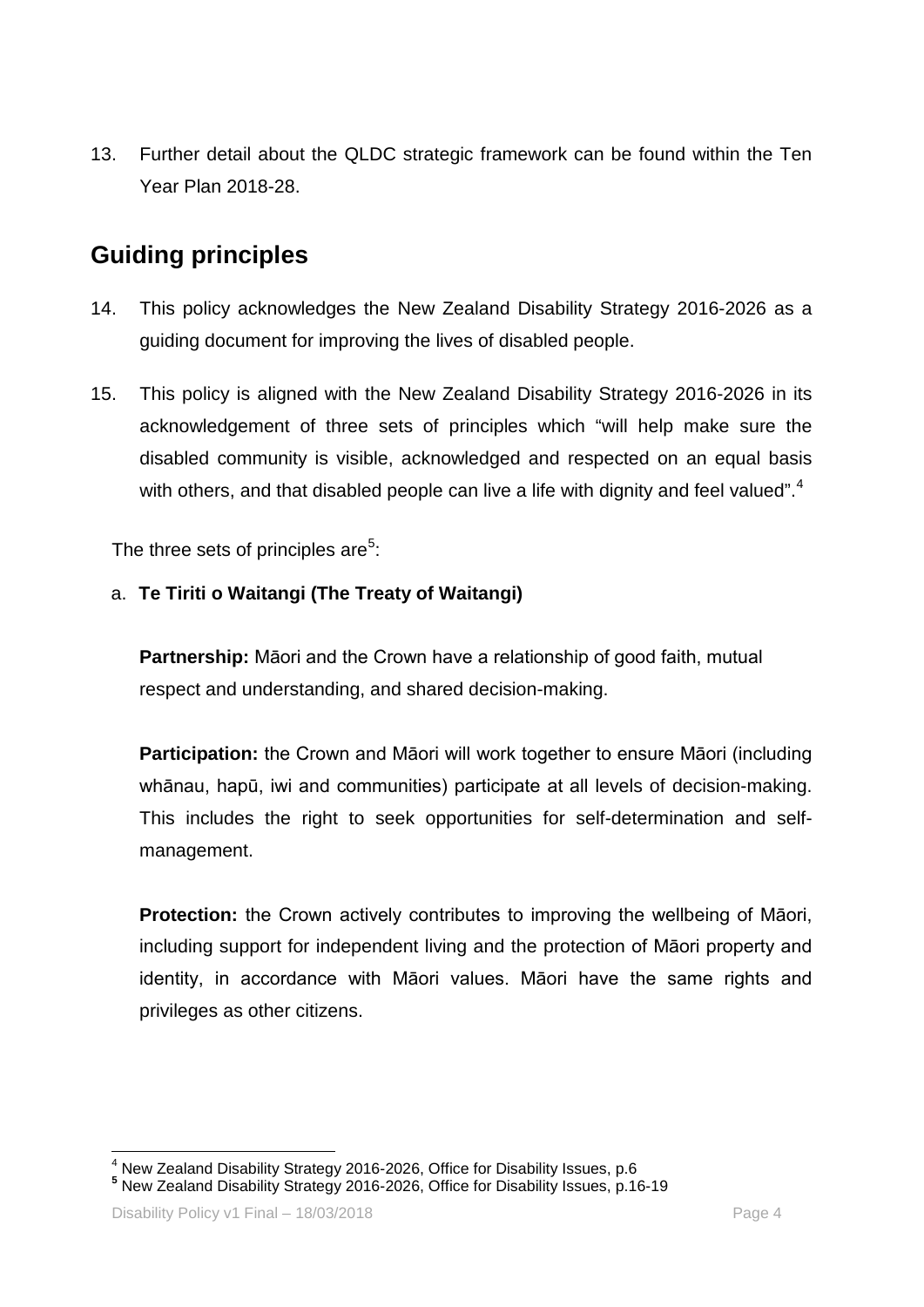13. Further detail about the QLDC strategic framework can be found within the Ten Year Plan 2018-28.

## **Guiding principles**

- 14. This policy acknowledges the New Zealand Disability Strategy 2016-2026 as a guiding document for improving the lives of disabled people.
- 15. This policy is aligned with the New Zealand Disability Strategy 2016-2026 in its acknowledgement of three sets of principles which "will help make sure the disabled community is visible, acknowledged and respected on an equal basis with others, and that disabled people can live a life with dignity and feel valued".<sup>[4](#page-3-0)</sup>

The three sets of principles are<sup>[5](#page-3-1)</sup>:

#### a. **Te Tiriti o Waitangi (The Treaty of Waitangi)**

**Partnership:** Māori and the Crown have a relationship of good faith, mutual respect and understanding, and shared decision-making.

**Participation:** the Crown and Māori will work together to ensure Māori (including whānau, hapū, iwi and communities) participate at all levels of decision-making. This includes the right to seek opportunities for self-determination and selfmanagement.

**Protection:** the Crown actively contributes to improving the wellbeing of Māori, including support for independent living and the protection of Māori property and identity, in accordance with Māori values. Māori have the same rights and privileges as other citizens.

<span id="page-3-0"></span><sup>4</sup> New Zealand Disability Strategy 2016-2026, Office for Disability Issues, p.6 **<sup>5</sup>** New Zealand Disability Strategy 2016-2026, Office for Disability Issues, p.16-19

<span id="page-3-1"></span>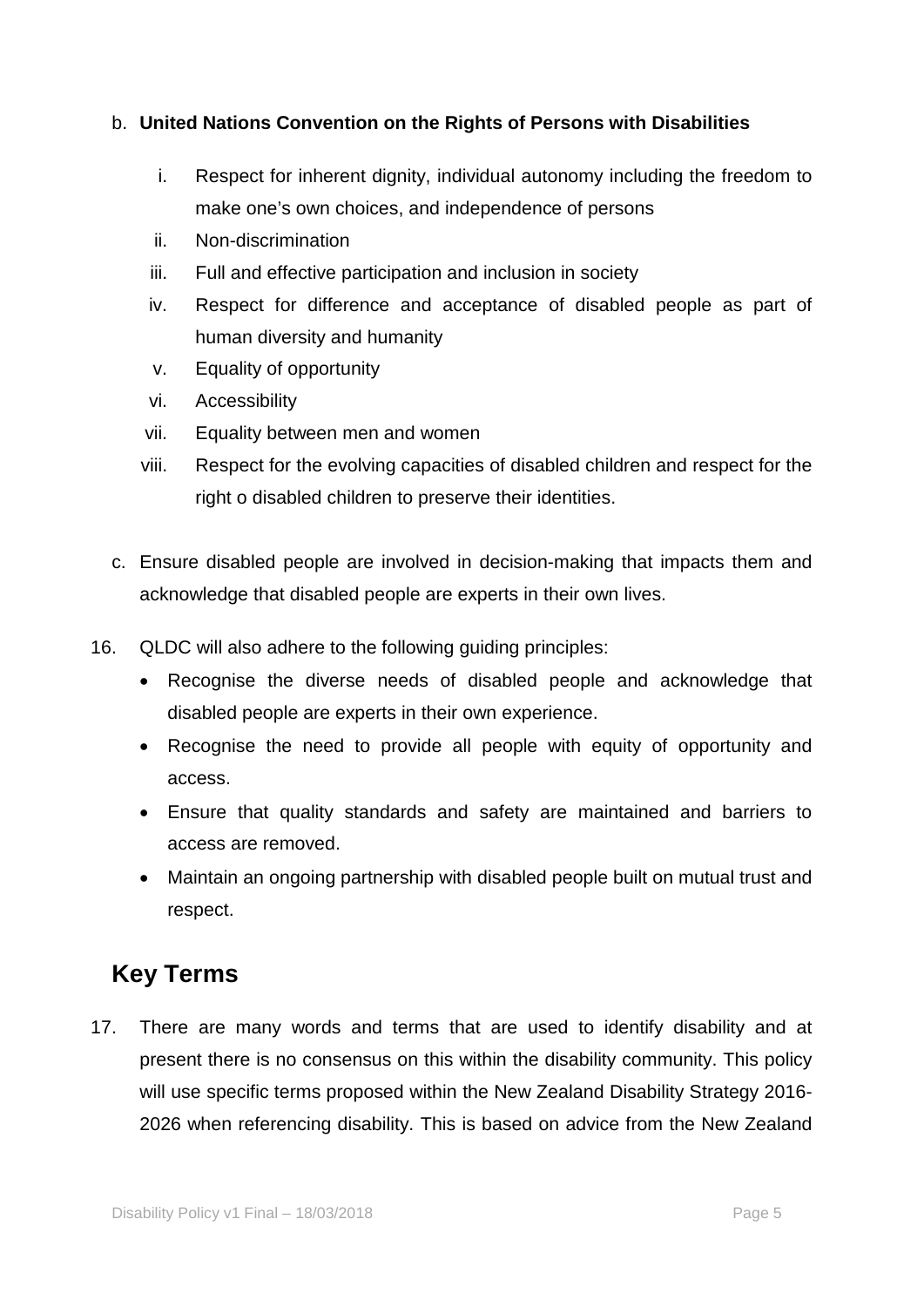#### b. **United Nations Convention on the Rights of Persons with Disabilities**

- i. Respect for inherent dignity, individual autonomy including the freedom to make one's own choices, and independence of persons
- ii. Non-discrimination
- iii. Full and effective participation and inclusion in society
- iv. Respect for difference and acceptance of disabled people as part of human diversity and humanity
- v. Equality of opportunity
- vi. Accessibility
- vii. Equality between men and women
- viii. Respect for the evolving capacities of disabled children and respect for the right o disabled children to preserve their identities.
- c. Ensure disabled people are involved in decision-making that impacts them and acknowledge that disabled people are experts in their own lives.
- 16. QLDC will also adhere to the following guiding principles:
	- Recognise the diverse needs of disabled people and acknowledge that disabled people are experts in their own experience.
	- Recognise the need to provide all people with equity of opportunity and access.
	- Ensure that quality standards and safety are maintained and barriers to access are removed.
	- Maintain an ongoing partnership with disabled people built on mutual trust and respect.

### **Key Terms**

17. There are many words and terms that are used to identify disability and at present there is no consensus on this within the disability community. This policy will use specific terms proposed within the New Zealand Disability Strategy 2016- 2026 when referencing disability. This is based on advice from the New Zealand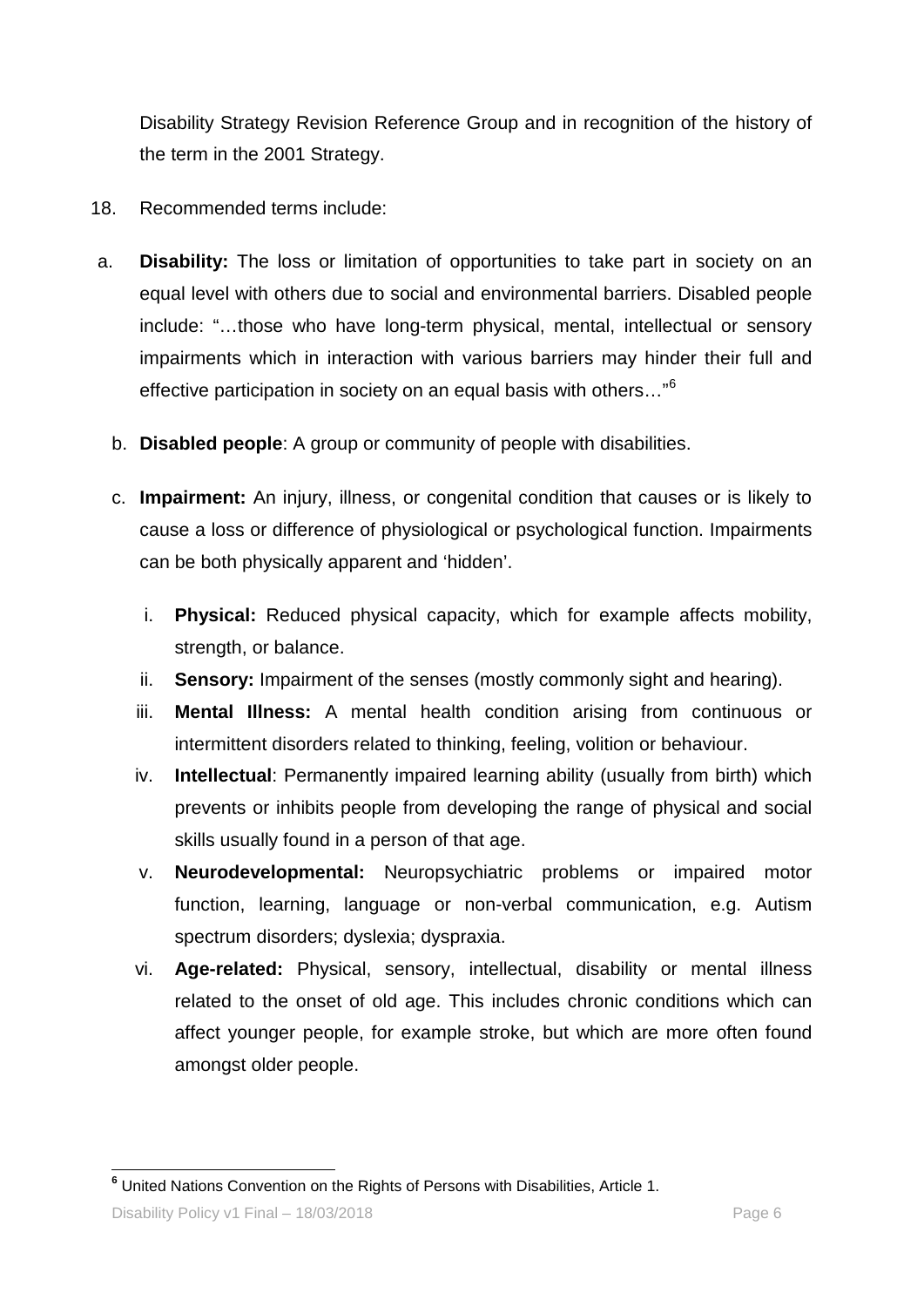Disability Strategy Revision Reference Group and in recognition of the history of the term in the 2001 Strategy.

- 18. Recommended terms include:
- a. **Disability:** The loss or limitation of opportunities to take part in society on an equal level with others due to social and environmental barriers. Disabled people include: "…those who have long-term physical, mental, intellectual or sensory impairments which in interaction with various barriers may hinder their full and effective participation in society on an equal basis with others…"[6](#page-5-0)
	- b. **Disabled people**: A group or community of people with disabilities.
	- c. **Impairment:** An injury, illness, or congenital condition that causes or is likely to cause a loss or difference of physiological or psychological function. Impairments can be both physically apparent and 'hidden'.
		- i. **Physical:** Reduced physical capacity, which for example affects mobility, strength, or balance.
		- ii. **Sensory:** Impairment of the senses (mostly commonly sight and hearing).
		- iii. **Mental Illness:** A mental health condition arising from continuous or intermittent disorders related to thinking, feeling, volition or behaviour.
		- iv. **Intellectual**: Permanently impaired learning ability (usually from birth) which prevents or inhibits people from developing the range of physical and social skills usually found in a person of that age.
		- v. **Neurodevelopmental:** Neuropsychiatric problems or impaired motor function, learning, language or non-verbal communication, e.g. Autism spectrum disorders; dyslexia; dyspraxia.
		- vi. **Age-related:** Physical, sensory, intellectual, disability or mental illness related to the onset of old age. This includes chronic conditions which can affect younger people, for example stroke, but which are more often found amongst older people.

Disability Policy v1 Final – 18/03/2018

<span id="page-5-0"></span> **<sup>6</sup>** United Nations Convention on the Rights of Persons with Disabilities, Article 1.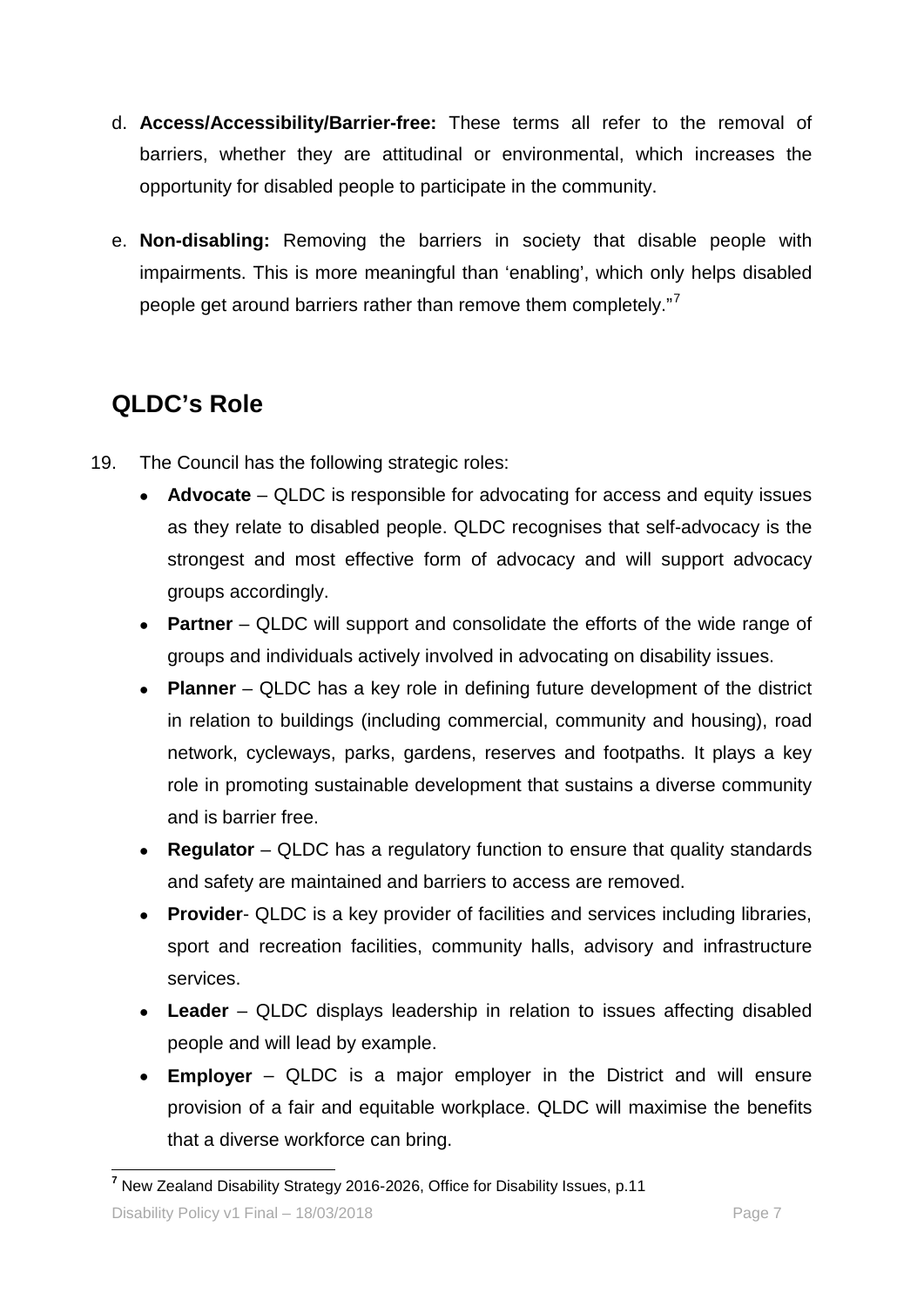- d. **Access/Accessibility/Barrier-free:** These terms all refer to the removal of barriers, whether they are attitudinal or environmental, which increases the opportunity for disabled people to participate in the community.
- e. **Non-disabling:** Removing the barriers in society that disable people with impairments. This is more meaningful than 'enabling', which only helps disabled people get around barriers rather than remove them completely."<sup>[7](#page-6-0)</sup>

# **QLDC's Role**

- 19. The Council has the following strategic roles:
	- **Advocate** QLDC is responsible for advocating for access and equity issues as they relate to disabled people. QLDC recognises that self-advocacy is the strongest and most effective form of advocacy and will support advocacy groups accordingly.
	- **Partner** QLDC will support and consolidate the efforts of the wide range of groups and individuals actively involved in advocating on disability issues.
	- **Planner** QLDC has a key role in defining future development of the district in relation to buildings (including commercial, community and housing), road network, cycleways, parks, gardens, reserves and footpaths. It plays a key role in promoting sustainable development that sustains a diverse community and is barrier free.
	- **Regulator** QLDC has a regulatory function to ensure that quality standards and safety are maintained and barriers to access are removed.
	- **Provider** QLDC is a key provider of facilities and services including libraries, sport and recreation facilities, community halls, advisory and infrastructure services.
	- **Leader**  QLDC displays leadership in relation to issues affecting disabled people and will lead by example.
	- **Employer** QLDC is a major employer in the District and will ensure provision of a fair and equitable workplace. QLDC will maximise the benefits that a diverse workforce can bring.

<span id="page-6-0"></span> **<sup>7</sup>** New Zealand Disability Strategy 2016-2026, Office for Disability Issues, p.11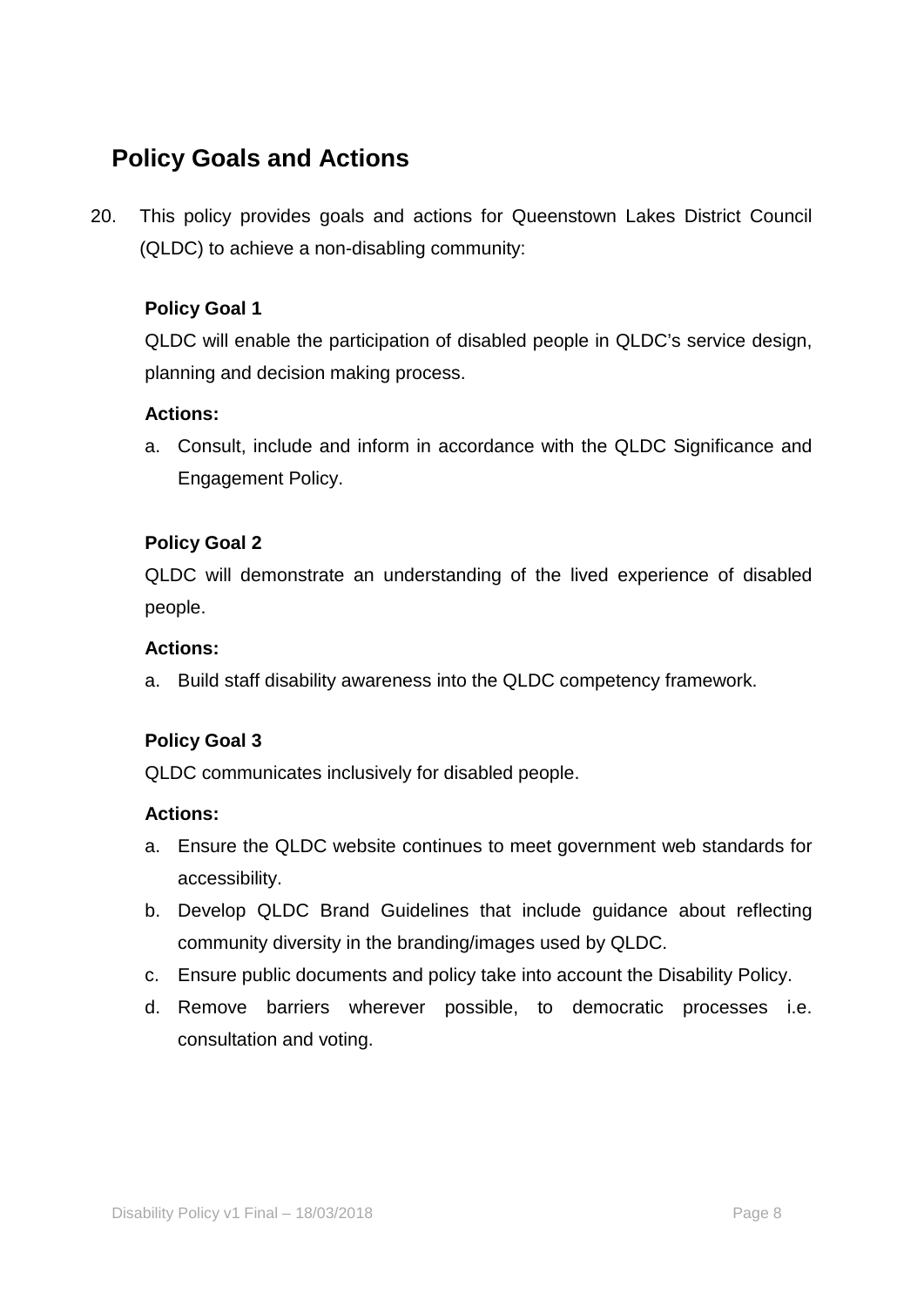# **Policy Goals and Actions**

20. This policy provides goals and actions for Queenstown Lakes District Council (QLDC) to achieve a non-disabling community:

#### **Policy Goal 1**

QLDC will enable the participation of disabled people in QLDC's service design, planning and decision making process.

#### **Actions:**

a. Consult, include and inform in accordance with the QLDC Significance and Engagement Policy.

#### **Policy Goal 2**

QLDC will demonstrate an understanding of the lived experience of disabled people.

#### **Actions:**

a. Build staff disability awareness into the QLDC competency framework.

#### **Policy Goal 3**

QLDC communicates inclusively for disabled people.

#### **Actions:**

- a. Ensure the QLDC website continues to meet government web standards for accessibility.
- b. Develop QLDC Brand Guidelines that include guidance about reflecting community diversity in the branding/images used by QLDC.
- c. Ensure public documents and policy take into account the Disability Policy.
- d. Remove barriers wherever possible, to democratic processes i.e. consultation and voting.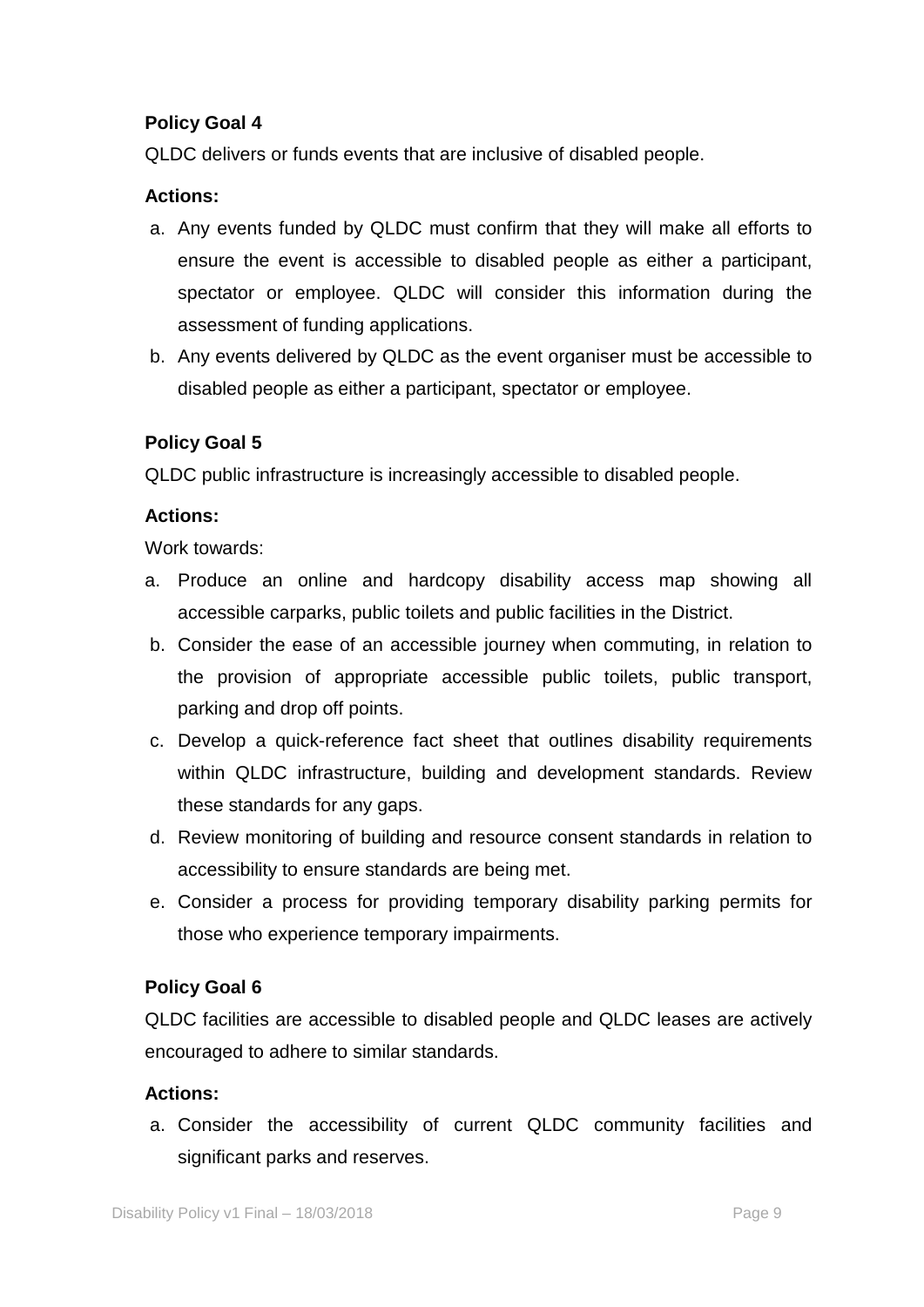#### **Policy Goal 4**

QLDC delivers or funds events that are inclusive of disabled people.

#### **Actions:**

- a. Any events funded by QLDC must confirm that they will make all efforts to ensure the event is accessible to disabled people as either a participant, spectator or employee. QLDC will consider this information during the assessment of funding applications.
- b. Any events delivered by QLDC as the event organiser must be accessible to disabled people as either a participant, spectator or employee.

#### **Policy Goal 5**

QLDC public infrastructure is increasingly accessible to disabled people.

#### **Actions:**

Work towards:

- a. Produce an online and hardcopy disability access map showing all accessible carparks, public toilets and public facilities in the District.
- b. Consider the ease of an accessible journey when commuting, in relation to the provision of appropriate accessible public toilets, public transport, parking and drop off points.
- c. Develop a quick-reference fact sheet that outlines disability requirements within QLDC infrastructure, building and development standards. Review these standards for any gaps.
- d. Review monitoring of building and resource consent standards in relation to accessibility to ensure standards are being met.
- e. Consider a process for providing temporary disability parking permits for those who experience temporary impairments.

#### **Policy Goal 6**

QLDC facilities are accessible to disabled people and QLDC leases are actively encouraged to adhere to similar standards.

#### **Actions:**

a. Consider the accessibility of current QLDC community facilities and significant parks and reserves.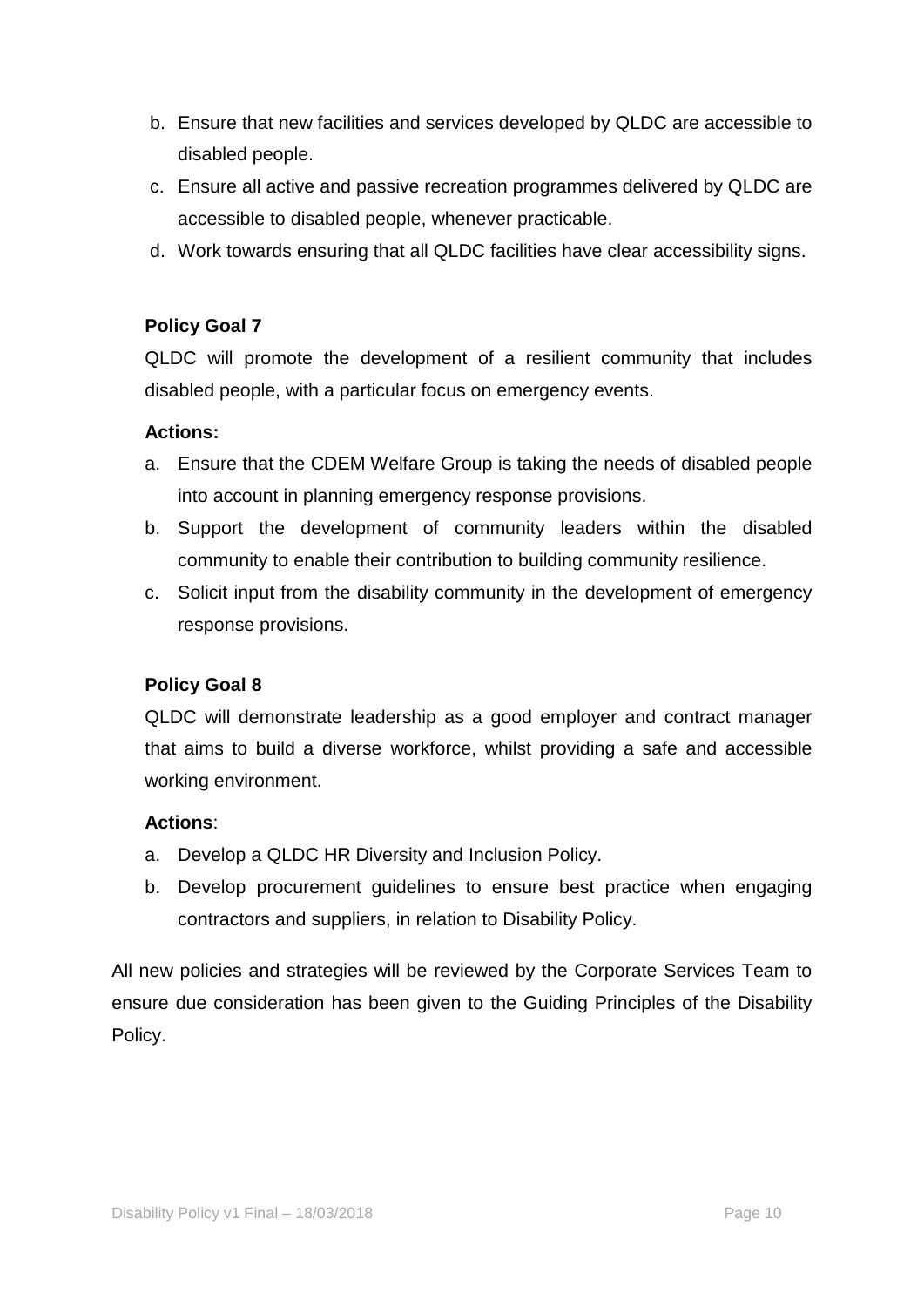- b. Ensure that new facilities and services developed by QLDC are accessible to disabled people.
- c. Ensure all active and passive recreation programmes delivered by QLDC are accessible to disabled people, whenever practicable.
- d. Work towards ensuring that all QLDC facilities have clear accessibility signs.

#### **Policy Goal 7**

QLDC will promote the development of a resilient community that includes disabled people, with a particular focus on emergency events.

#### **Actions:**

- a. Ensure that the CDEM Welfare Group is taking the needs of disabled people into account in planning emergency response provisions.
- b. Support the development of community leaders within the disabled community to enable their contribution to building community resilience.
- c. Solicit input from the disability community in the development of emergency response provisions.

#### **Policy Goal 8**

QLDC will demonstrate leadership as a good employer and contract manager that aims to build a diverse workforce, whilst providing a safe and accessible working environment.

#### **Actions**:

- a. Develop a QLDC HR Diversity and Inclusion Policy.
- b. Develop procurement guidelines to ensure best practice when engaging contractors and suppliers, in relation to Disability Policy.

All new policies and strategies will be reviewed by the Corporate Services Team to ensure due consideration has been given to the Guiding Principles of the Disability Policy.